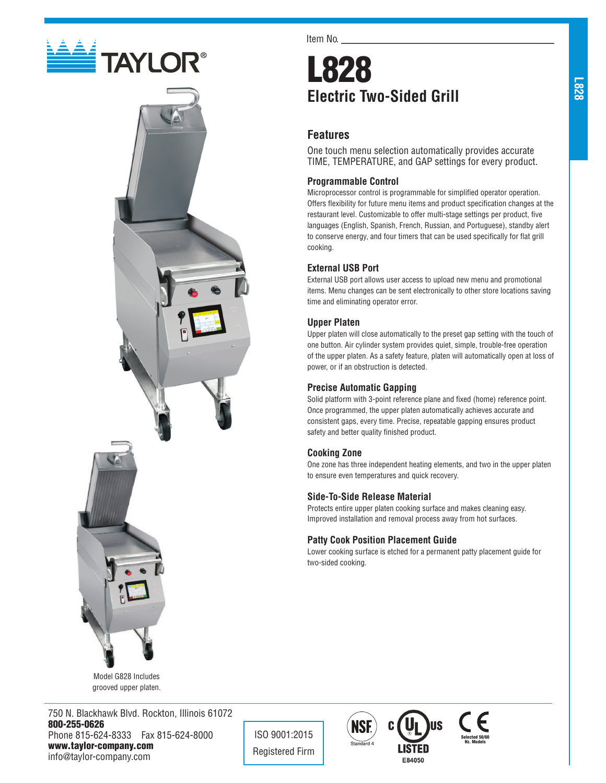



Model G828 Includes grooved upper platen.

750 N. Blackhawk Blvd. Rockton, Illinois 61072 800-255-0626 Phone 815-624-8333 Fax 815-624-8000 www.taylor-company.com info@taylor-company.com

Item No.

# L828 **Electric Two-Sided Grill**

## **Features**

One touch menu selection automatically provides accurate TIME, TEMPERATURE, and GAP settings for every product.

## **Programmable Control**

Microprocessor control is programmable for simplified operator operation. Offers flexibility for future menu items and product specification changes at the restaurant level. Customizable to offer multi-stage settings per product, five languages (English, Spanish, French, Russian, and Portuguese), standby alert to conserve energy, and four timers that can be used specifically for flat grill cooking.

## **External USB Port**

External USB port allows user access to upload new menu and promotional items. Menu changes can be sent electronically to other store locations saving time and eliminating operator error.

## **Upper Platen**

Upper platen will close automatically to the preset gap setting with the touch of one button. Air cylinder system provides quiet, simple, trouble-free operation of the upper platen. As a safety feature, platen will automatically open at loss of power, or if an obstruction is detected.

## **Precise Automatic Gapping**

Solid platform with 3-point reference plane and fixed (home) reference point. Once programmed, the upper platen automatically achieves accurate and consistent gaps, every time. Precise, repeatable gapping ensures product safety and better quality finished product.

## **Cooking Zone**

One zone has three independent heating elements, and two in the upper platen to ensure even temperatures and quick recovery.

## **Side-To-Side Release Material**

Protects entire upper platen cooking surface and makes cleaning easy. Improved installation and removal process away from hot surfaces.

## **Patty Cook Position Placement Guide**

Lower cooking surface is etched for a permanent patty placement guide for two-sided cooking.



ISO 9001:2015 Registered Firm